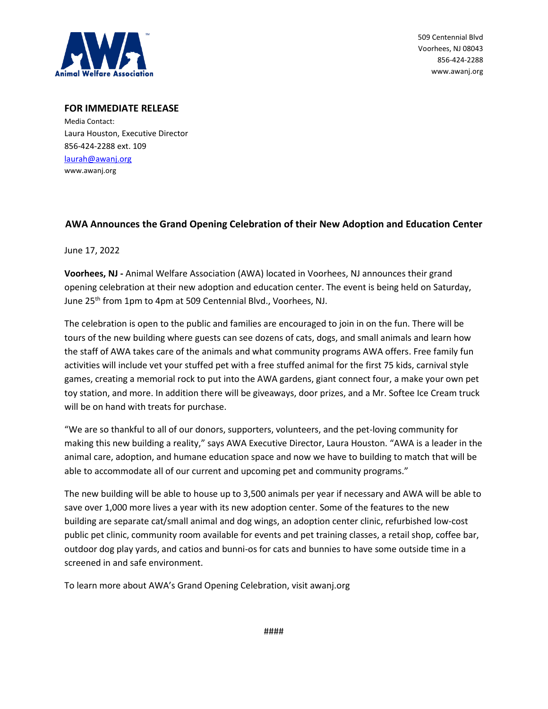

509 Centennial Blvd Voorhees, NJ 08043 856-424-2288 www.awanj.org

## **FOR IMMEDIATE RELEASE**

Media Contact: Laura Houston, Executive Director 856-424-2288 ext. 109 [laurah@awanj.org](mailto:laurah@awanj.org) www.awanj.org

## **AWA Announces the Grand Opening Celebration of their New Adoption and Education Center**

June 17, 2022

**Voorhees, NJ -** Animal Welfare Association (AWA) located in Voorhees, NJ announces their grand opening celebration at their new adoption and education center. The event is being held on Saturday, June 25<sup>th</sup> from 1pm to 4pm at 509 Centennial Blvd., Voorhees, NJ.

The celebration is open to the public and families are encouraged to join in on the fun. There will be tours of the new building where guests can see dozens of cats, dogs, and small animals and learn how the staff of AWA takes care of the animals and what community programs AWA offers. Free family fun activities will include vet your stuffed pet with a free stuffed animal for the first 75 kids, carnival style games, creating a memorial rock to put into the AWA gardens, giant connect four, a make your own pet toy station, and more. In addition there will be giveaways, door prizes, and a Mr. Softee Ice Cream truck will be on hand with treats for purchase.

"We are so thankful to all of our donors, supporters, volunteers, and the pet-loving community for making this new building a reality," says AWA Executive Director, Laura Houston. "AWA is a leader in the animal care, adoption, and humane education space and now we have to building to match that will be able to accommodate all of our current and upcoming pet and community programs."

The new building will be able to house up to 3,500 animals per year if necessary and AWA will be able to save over 1,000 more lives a year with its new adoption center. Some of the features to the new building are separate cat/small animal and dog wings, an adoption center clinic, refurbished low-cost public pet clinic, community room available for events and pet training classes, a retail shop, coffee bar, outdoor dog play yards, and catios and bunni-os for cats and bunnies to have some outside time in a screened in and safe environment.

To learn more about AWA's Grand Opening Celebration, visit awanj.org